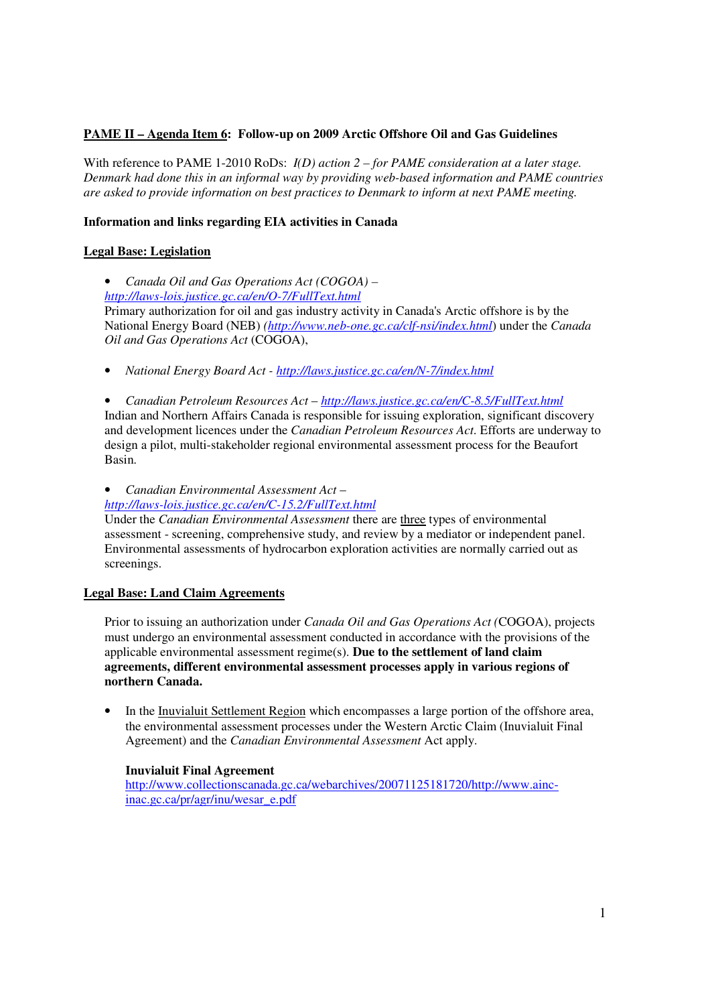# **PAME II – Agenda Item 6: Follow-up on 2009 Arctic Offshore Oil and Gas Guidelines**

With reference to PAME 1-2010 RoDs: *I(D) action 2 – for PAME consideration at a later stage. Denmark had done this in an informal way by providing web-based information and PAME countries are asked to provide information on best practices to Denmark to inform at next PAME meeting.* 

# **Information and links regarding EIA activities in Canada**

# **Legal Base: Legislation**

• *Canada Oil and Gas Operations Act (COGOA) – http://laws-lois.justice.gc.ca/en/O-7/FullText.html* Primary authorization for oil and gas industry activity in Canada's Arctic offshore is by the National Energy Board (NEB) *(http://www.neb-one.gc.ca/clf-nsi/index.html*) under the *Canada Oil and Gas Operations Act* (COGOA),

• *National Energy Board Act - http://laws.justice.gc.ca/en/N-7/index.html*

• *Canadian Petroleum Resources Act* – *http://laws.justice.gc.ca/en/C-8.5/FullText.html* Indian and Northern Affairs Canada is responsible for issuing exploration, significant discovery and development licences under the *Canadian Petroleum Resources Act*. Efforts are underway to design a pilot, multi-stakeholder regional environmental assessment process for the Beaufort Basin.

• *Canadian Environmental Assessment Act* –

*http://laws-lois.justice.gc.ca/en/C-15.2/FullText.html*

Under the *Canadian Environmental Assessment* there are three types of environmental assessment - screening, comprehensive study, and review by a mediator or independent panel. Environmental assessments of hydrocarbon exploration activities are normally carried out as screenings.

# **Legal Base: Land Claim Agreements**

Prior to issuing an authorization under *Canada Oil and Gas Operations Act (*COGOA), projects must undergo an environmental assessment conducted in accordance with the provisions of the applicable environmental assessment regime(s). **Due to the settlement of land claim agreements, different environmental assessment processes apply in various regions of northern Canada.**

• In the Inuvialuit Settlement Region which encompasses a large portion of the offshore area, the environmental assessment processes under the Western Arctic Claim (Inuvialuit Final Agreement) and the *Canadian Environmental Assessment* Act apply.

## **Inuvialuit Final Agreement**

http://www.collectionscanada.gc.ca/webarchives/20071125181720/http://www.aincinac.gc.ca/pr/agr/inu/wesar\_e.pdf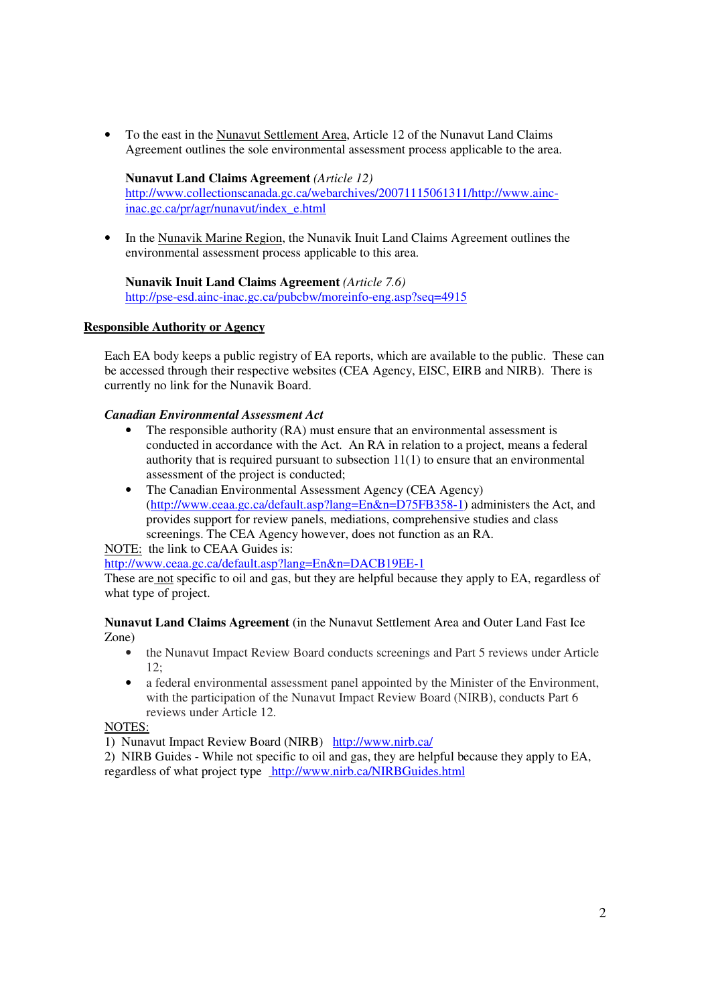• To the east in the Nunavut Settlement Area, Article 12 of the Nunavut Land Claims Agreement outlines the sole environmental assessment process applicable to the area.

# **Nunavut Land Claims Agreement** *(Article 12)*

http://www.collectionscanada.gc.ca/webarchives/20071115061311/http://www.aincinac.gc.ca/pr/agr/nunavut/index\_e.html

• In the Nunavik Marine Region, the Nunavik Inuit Land Claims Agreement outlines the environmental assessment process applicable to this area.

## **Nunavik Inuit Land Claims Agreement** *(Article 7.6)*

http://pse-esd.ainc-inac.gc.ca/pubcbw/moreinfo-eng.asp?seq=4915

## **Responsible Authority or Agency**

Each EA body keeps a public registry of EA reports, which are available to the public. These can be accessed through their respective websites (CEA Agency, EISC, EIRB and NIRB). There is currently no link for the Nunavik Board.

## *Canadian Environmental Assessment Act*

- The responsible authority (RA) must ensure that an environmental assessment is conducted in accordance with the Act. An RA in relation to a project, means a federal authority that is required pursuant to subsection 11(1) to ensure that an environmental assessment of the project is conducted;
- The Canadian Environmental Assessment Agency (CEA Agency) (http://www.ceaa.gc.ca/default.asp?lang=En&n=D75FB358-1) administers the Act, and provides support for review panels, mediations, comprehensive studies and class screenings. The CEA Agency however, does not function as an RA.

NOTE: the link to CEAA Guides is:

http://www.ceaa.gc.ca/default.asp?lang=En&n=DACB19EE-1

These are not specific to oil and gas, but they are helpful because they apply to EA, regardless of what type of project.

#### **Nunavut Land Claims Agreement** (in the Nunavut Settlement Area and Outer Land Fast Ice Zone)

- the Nunavut Impact Review Board conducts screenings and Part 5 reviews under Article  $12$
- a federal environmental assessment panel appointed by the Minister of the Environment, with the participation of the Nunavut Impact Review Board (NIRB), conducts Part 6 reviews under Article 12.

#### NOTES:

1) Nunavut Impact Review Board (NIRB) http://www.nirb.ca/

2) NIRB Guides - While not specific to oil and gas, they are helpful because they apply to EA, regardless of what project type http://www.nirb.ca/NIRBGuides.html